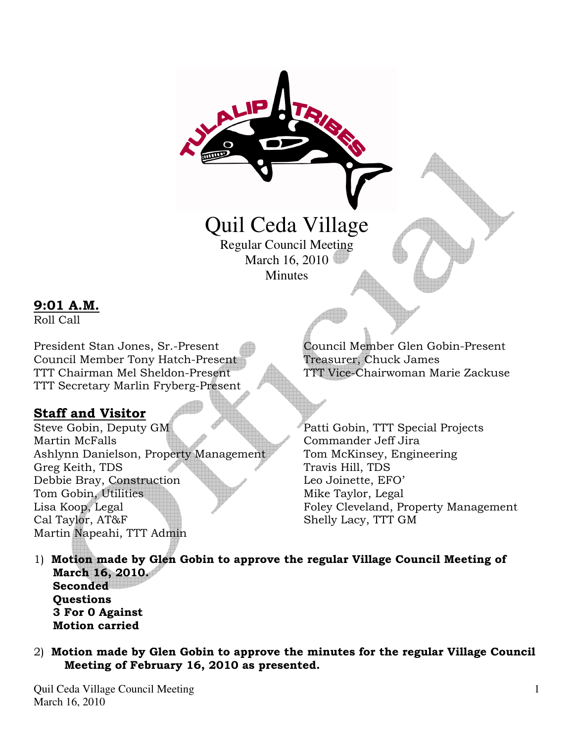# Quil Ceda Village

Regular Council Meeting March 16, 2010 **Minutes** 

## 9:01 A.M.

Roll Call

President Stan Jones, Sr.-Present Council Member Glen Gobin-Present Council Member Tony Hatch-Present Treasurer, Chuck James TTT Chairman Mel Sheldon-Present TTT Vice-Chairwoman Marie Zackuse TTT Secretary Marlin Fryberg-Present

## Staff and Visitor

Steve Gobin, Deputy GM Patti Gobin, TTT Special Projects Martin McFalls Commander Jeff Jira Ashlynn Danielson, Property Management Tom McKinsey, Engineering Greg Keith, TDS Travis Hill, TDS Debbie Bray, Construction Leo Joinette, EFO' Tom Gobin, Utilities **Mike Taylor**, Legal Lisa Koop, Legal Foley Cleveland, Property Management Cal Taylor, AT&F Shelly Lacy, TTT GM Martin Napeahi, TTT Admin

- 1) Motion made by Glen Gobin to approve the regular Village Council Meeting of March 16, 2010. **Seconded Ouestions**  3 For 0 Against Motion carried
- 2) Motion made by Glen Gobin to approve the minutes for the regular Village Council Meeting of February 16, 2010 as presented.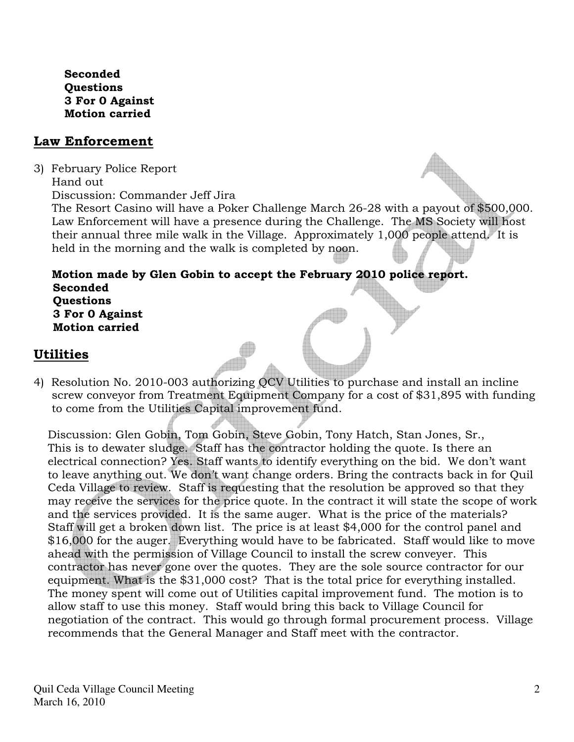Seconded Questions 3 For 0 Against Motion carried

## Law Enforcement

- 3) February Police Report
	- Hand out

Discussion: Commander Jeff Jira

 The Resort Casino will have a Poker Challenge March 26-28 with a payout of \$500,000. Law Enforcement will have a presence during the Challenge. The MS Society will host their annual three mile walk in the Village. Approximately 1,000 people attend. It is held in the morning and the walk is completed by noon.

#### Motion made by Glen Gobin to accept the February 2010 police report. Seconded **Ouestions**  3 For 0 Against Motion carried

# Utilities

4) Resolution No. 2010-003 authorizing QCV Utilities to purchase and install an incline screw conveyor from Treatment Equipment Company for a cost of \$31,895 with funding to come from the Utilities Capital improvement fund.

Discussion: Glen Gobin, Tom Gobin, Steve Gobin, Tony Hatch, Stan Jones, Sr., This is to dewater sludge. Staff has the contractor holding the quote. Is there an electrical connection? Yes. Staff wants to identify everything on the bid. We don't want to leave anything out. We don't want change orders. Bring the contracts back in for Quil Ceda Village to review. Staff is requesting that the resolution be approved so that they may receive the services for the price quote. In the contract it will state the scope of work and the services provided. It is the same auger. What is the price of the materials? Staff will get a broken down list. The price is at least \$4,000 for the control panel and \$16,000 for the auger. Everything would have to be fabricated. Staff would like to move ahead with the permission of Village Council to install the screw conveyer. This contractor has never gone over the quotes. They are the sole source contractor for our equipment. What is the \$31,000 cost? That is the total price for everything installed. The money spent will come out of Utilities capital improvement fund. The motion is to allow staff to use this money. Staff would bring this back to Village Council for negotiation of the contract. This would go through formal procurement process. Village recommends that the General Manager and Staff meet with the contractor.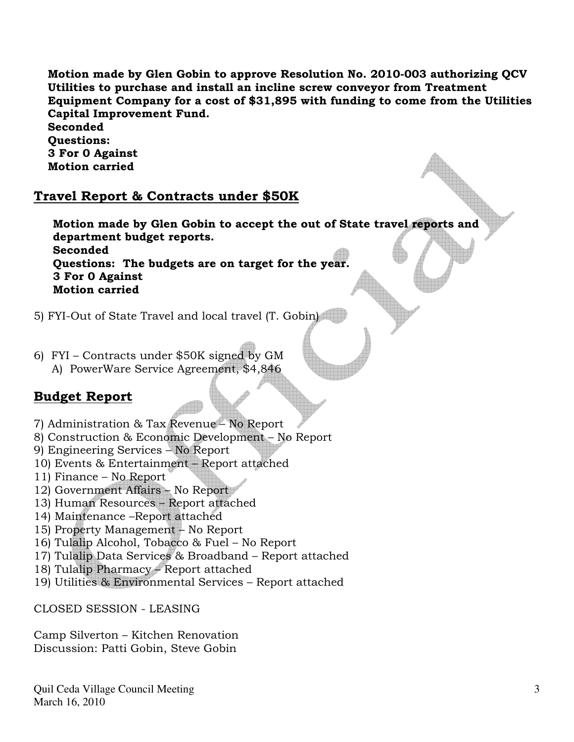Motion made by Glen Gobin to approve Resolution No. 2010-003 authorizing QCV Utilities to purchase and install an incline screw conveyor from Treatment Equipment Company for a cost of \$31,895 with funding to come from the Utilities Capital Improvement Fund.

Seconded Questions: 3 For 0 Against Motion carried

## Travel Report & Contracts under \$50K

 Motion made by Glen Gobin to accept the out of State travel reports and department budget reports. **Seconded**  Questions: The budgets are on target for the year. 3 For 0 Against Motion carried

- 5) FYI-Out of State Travel and local travel (T. Gobin)
- 6) FYI Contracts under \$50K signed by GM A) PowerWare Service Agreement, \$4,846

## Budget Report

- 7) Administration & Tax Revenue No Report
- 8) Construction & Economic Development No Report
- 9) Engineering Services No Report
- 10) Events & Entertainment Report attached
- 11) Finance No Report
- 12) Government Affairs No Report
- 13) Human Resources Report attached
- 14) Maintenance –Report attached
- 15) Property Management No Report
- 16) Tulalip Alcohol, Tobacco & Fuel No Report
- 17) Tulalip Data Services & Broadband Report attached
- 18) Tulalip Pharmacy Report attached
- 19) Utilities & Environmental Services Report attached

CLOSED SESSION - LEASING

Camp Silverton – Kitchen Renovation Discussion: Patti Gobin, Steve Gobin

Quil Ceda Village Council Meeting March 16, 2010